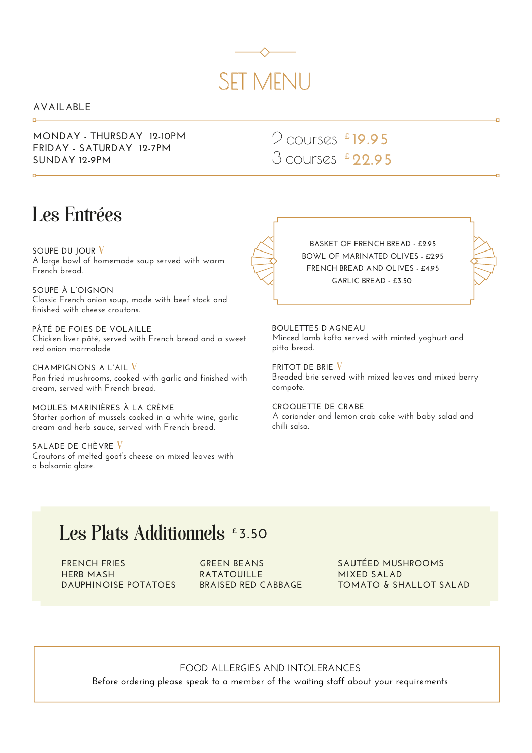# SET MENU

#### **AVAILABLE**

**MONDAY - THURSDAY 12-10PM FRIDAY - SATURDAY 12-7PM SUNDAY 12-9PM**

2 courses **£ 19.95** 3 courses **£ 22.95**

### Les Entrées

**SOUPE DU JOUR** V **A large bowl of homemade soup served with warm French bread.**

**SOUPE À L'OIGNON Classic French onion soup, made with beef stock and finished with cheese croutons.**

**PÂTÉ DE FOIES DE VOLAILLE Chicken liver pâté, served with French bread and a sweet red onion marmalade** 

**CHAMPIGNONS A L'AIL** V **Pan fried mushrooms, cooked with garlic and finished with cream, served with French bread.**

**MOULES MARINIÈRES À LA CRÈME Starter portion of mussels cooked in a white wine, garlic cream and herb sauce, served with French bread.**

**SALADE DE CHÈVRE** V **Croutons of melted goat's cheese on mixed leaves with a balsamic glaze.**

**BASKET OF FRENCH BREAD - £2.95 BOWL OF MARINATED OLIVES - £2.95 FRENCH BREAD AND OLIVES - £4.95 GARLIC BREAD - £3.50** 

**BOULETTES D'AGNEAU Minced lamb kofta served with minted yoghurt and pitta bread.**

**FRITOT DE BRIE** V **Breaded brie served with mixed leaves and mixed berry compote.**

**CROQUETTE DE CRABE A coriander and lemon crab cake with baby salad and chilli salsa.**

## Les Plats Additionnels **£ 3.50**

**FRENCH FRIES HERB MASH DAUPHINOISE POTATOES** **GREEN BEANS RATATOUILLE BRAISED RED CABBAGE** **SAUTÉED MUSHROOMS MIXED SALAD TOMATO & SHALLOT SALAD**

#### **FOOD ALLERGIES AND INTOLERANCES**

**Before ordering please speak to a member of the waiting staff about your requirements**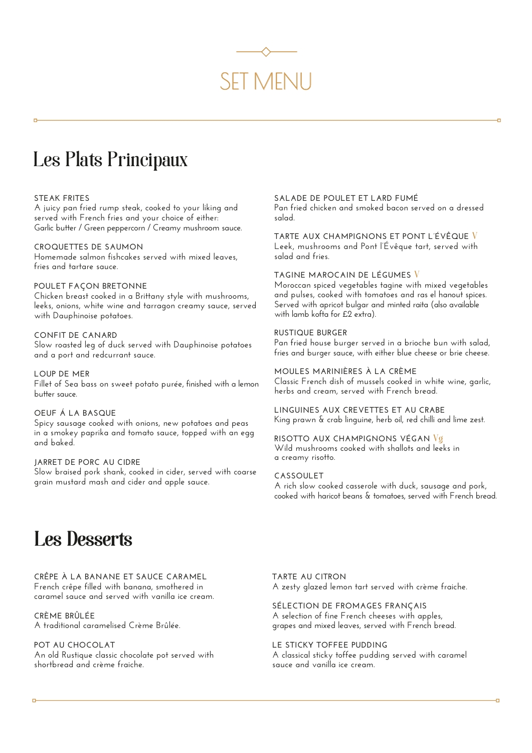

### Les Plats Principaux

#### **STEAK FRITES**

**A juicy pan fried rump steak, cooked to your liking and served with French fries and your choice of either: Garlic butter / Green peppercorn / Creamy mushroom sauce.** 

#### **CROQUETTES DE SAUMON**

**Homemade salmon fishcakes served with mixed leaves, fries and tartare sauce.**

#### **POULET FAÇON BRETONNE**

**Chicken breast cooked in a Brittany style with mushrooms, leeks, onions, white wine and tarragon creamy sauce, served with Dauphinoise potatoes.**

#### **CONFIT DE CANARD**

**Slow roasted leg of duck served with Dauphinoise potatoes and a port and redcurrant sauce.**

**LOUP DE MER Fillet of Sea bass on sweet potato purée, finished with a lemon butter sauce.**

#### **OEUF Á LA BASQUE**

**Spicy sausage cooked with onions, new potatoes and peas in a smokey paprika and tomato sauce, topped with an egg and baked.**

#### **JARRET DE PORC AU CIDRE**

**Slow braised pork shank, cooked in cider, served with coarse grain mustard mash and cider and apple sauce.**

#### **SALADE DE POULET ET LARD FUMÉ**

**Pan fried chicken and smoked bacon served on a dressed salad.**

**TARTE AUX CHAMPIGNONS ET PONT L'ÉVÊQUE** V **Leek, mushrooms and Pont l'Évêque tart, served with salad and fries.** 

#### **TAGINE MAROCAIN DE LÉGUMES** V

**Moroccan spiced vegetables tagine with mixed vegetables and pulses, cooked with tomatoes and ras el hanout spices. Served with apricot bulgar and minted raita (also available with lamb kofta for £2 extra).**

#### **RUSTIQUE BURGER**

**Pan fried house burger served in a brioche bun with salad, fries and burger sauce, with either blue cheese or brie cheese.**

**MOULES MARINIÈRES À LA CRÈME Classic French dish of mussels cooked in white wine, garlic, herbs and cream, served with French bread.**

**LINGUINES AUX CREVETTES ET AU CRABE King prawn & crab linguine, herb oil, red chilli and lime zest.**

#### **RISOTTO AUX CHAMPIGNONS VÉGAN** Vg

**Wild mushrooms cooked with shallots and leeks in a creamy risotto.**

#### **CASSOULET**

**A rich slow cooked casserole with duck, sausage and pork, cooked with haricot beans & tomatoes, served with French bread.**

## Les Desserts Les Desserts

#### **CRÊPE À LA BANANE ET SAUCE CARAMEL**

**French crêpe filled with banana, smothered in caramel sauce and served with vanilla ice cream.** 

**CRÈME BRÛLÉE A traditional caramelised Crème Brûlée.** 

#### **POT AU CHOCOLAT**

**An old Rustique classic chocolate pot served with shortbread and crème fraiche.** 

**TARTE AU CITRON A zesty glazed lemon tart served with crème fraiche.**

#### **SÉLECTION DE FROMAGES FRANÇAIS**

**A selection of fine French cheeses with apples, grapes and mixed leaves, served with French bread.**

#### **LE STICKY TOFFEE PUDDING**

**A classical sticky toffee pudding served with caramel sauce and vanilla ice cream.**